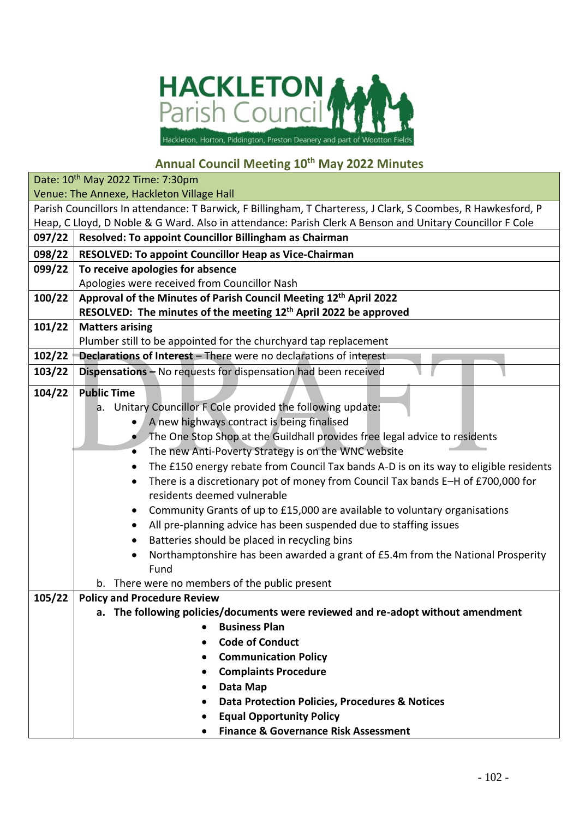

## **Annual Council Meeting 10th May 2022 Minutes**

|        | Date: 10 <sup>th</sup> May 2022 Time: 7:30pm                                                                 |
|--------|--------------------------------------------------------------------------------------------------------------|
|        | Venue: The Annexe, Hackleton Village Hall                                                                    |
|        | Parish Councillors In attendance: T Barwick, F Billingham, T Charteress, J Clark, S Coombes, R Hawkesford, P |
|        | Heap, C Lloyd, D Noble & G Ward. Also in attendance: Parish Clerk A Benson and Unitary Councillor F Cole     |
| 097/22 | Resolved: To appoint Councillor Billingham as Chairman                                                       |
| 098/22 | RESOLVED: To appoint Councillor Heap as Vice-Chairman                                                        |
| 099/22 | To receive apologies for absence                                                                             |
|        | Apologies were received from Councillor Nash                                                                 |
| 100/22 | Approval of the Minutes of Parish Council Meeting 12th April 2022                                            |
|        | RESOLVED: The minutes of the meeting 12 <sup>th</sup> April 2022 be approved                                 |
| 101/22 | <b>Matters arising</b>                                                                                       |
|        | Plumber still to be appointed for the churchyard tap replacement                                             |
| 102/22 | <b>Declarations of Interest</b> - There were no declarations of interest                                     |
| 103/22 | Dispensations - No requests for dispensation had been received                                               |
| 104/22 | <b>Public Time</b>                                                                                           |
|        | a. Unitary Councillor F Cole provided the following update:                                                  |
|        | A new highways contract is being finalised                                                                   |
|        | The One Stop Shop at the Guildhall provides free legal advice to residents                                   |
|        | The new Anti-Poverty Strategy is on the WNC website<br>٠                                                     |
|        | The £150 energy rebate from Council Tax bands A-D is on its way to eligible residents                        |
|        | There is a discretionary pot of money from Council Tax bands E-H of £700,000 for<br>٠                        |
|        | residents deemed vulnerable                                                                                  |
|        | Community Grants of up to £15,000 are available to voluntary organisations                                   |
|        | All pre-planning advice has been suspended due to staffing issues                                            |
|        | Batteries should be placed in recycling bins<br>$\bullet$                                                    |
|        | Northamptonshire has been awarded a grant of £5.4m from the National Prosperity                              |
|        | Fund                                                                                                         |
|        | b. There were no members of the public present                                                               |
| 105/22 | <b>Policy and Procedure Review</b>                                                                           |
|        | a. The following policies/documents were reviewed and re-adopt without amendment                             |
|        | <b>Business Plan</b>                                                                                         |
|        | <b>Code of Conduct</b><br>$\bullet$                                                                          |
|        | <b>Communication Policy</b><br>$\bullet$                                                                     |
|        | <b>Complaints Procedure</b>                                                                                  |
|        | Data Map<br>$\bullet$                                                                                        |
|        | <b>Data Protection Policies, Procedures &amp; Notices</b>                                                    |
|        | <b>Equal Opportunity Policy</b><br>$\bullet$                                                                 |
|        | <b>Finance &amp; Governance Risk Assessment</b>                                                              |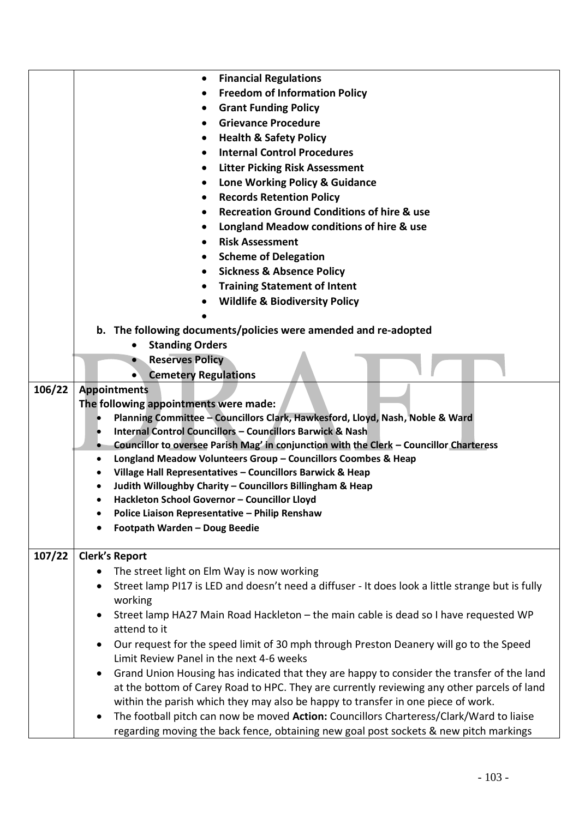|        | <b>Financial Regulations</b><br>$\bullet$                                                                   |
|--------|-------------------------------------------------------------------------------------------------------------|
|        | <b>Freedom of Information Policy</b><br>$\bullet$                                                           |
|        | <b>Grant Funding Policy</b>                                                                                 |
|        | <b>Grievance Procedure</b>                                                                                  |
|        | <b>Health &amp; Safety Policy</b>                                                                           |
|        | <b>Internal Control Procedures</b><br>$\bullet$                                                             |
|        | <b>Litter Picking Risk Assessment</b>                                                                       |
|        | Lone Working Policy & Guidance                                                                              |
|        | <b>Records Retention Policy</b>                                                                             |
|        | <b>Recreation Ground Conditions of hire &amp; use</b>                                                       |
|        | Longland Meadow conditions of hire & use                                                                    |
|        | <b>Risk Assessment</b>                                                                                      |
|        |                                                                                                             |
|        | <b>Scheme of Delegation</b>                                                                                 |
|        | <b>Sickness &amp; Absence Policy</b>                                                                        |
|        | <b>Training Statement of Intent</b><br>$\bullet$                                                            |
|        | <b>Wildlife &amp; Biodiversity Policy</b>                                                                   |
|        |                                                                                                             |
|        | b. The following documents/policies were amended and re-adopted<br><b>Standing Orders</b>                   |
|        |                                                                                                             |
|        | <b>Reserves Policy</b><br><b>Cemetery Regulations</b>                                                       |
| 106/22 | <b>Appointments</b>                                                                                         |
|        | The following appointments were made:                                                                       |
|        | Planning Committee - Councillors Clark, Hawkesford, Lloyd, Nash, Noble & Ward                               |
|        | <b>Internal Control Councillors - Councillors Barwick &amp; Nash</b>                                        |
|        | Councillor to oversee Parish Mag' in conjunction with the Clerk - Councillor Charteress                     |
|        | Longland Meadow Volunteers Group - Councillors Coombes & Heap<br>٠                                          |
|        | Village Hall Representatives - Councillors Barwick & Heap                                                   |
|        | Judith Willoughby Charity - Councillors Billingham & Heap                                                   |
|        | Hackleton School Governor - Councillor Lloyd                                                                |
|        | Police Liaison Representative - Philip Renshaw                                                              |
|        | Footpath Warden - Doug Beedie                                                                               |
| 107/22 | <b>Clerk's Report</b>                                                                                       |
|        | The street light on Elm Way is now working                                                                  |
|        | Street lamp PI17 is LED and doesn't need a diffuser - It does look a little strange but is fully<br>working |
|        | Street lamp HA27 Main Road Hackleton - the main cable is dead so I have requested WP                        |
|        | attend to it                                                                                                |
|        | Our request for the speed limit of 30 mph through Preston Deanery will go to the Speed                      |
|        | Limit Review Panel in the next 4-6 weeks                                                                    |
|        | Grand Union Housing has indicated that they are happy to consider the transfer of the land                  |
|        | at the bottom of Carey Road to HPC. They are currently reviewing any other parcels of land                  |
|        | within the parish which they may also be happy to transfer in one piece of work.                            |
|        | The football pitch can now be moved Action: Councillors Charteress/Clark/Ward to liaise<br>$\bullet$        |
|        | regarding moving the back fence, obtaining new goal post sockets & new pitch markings                       |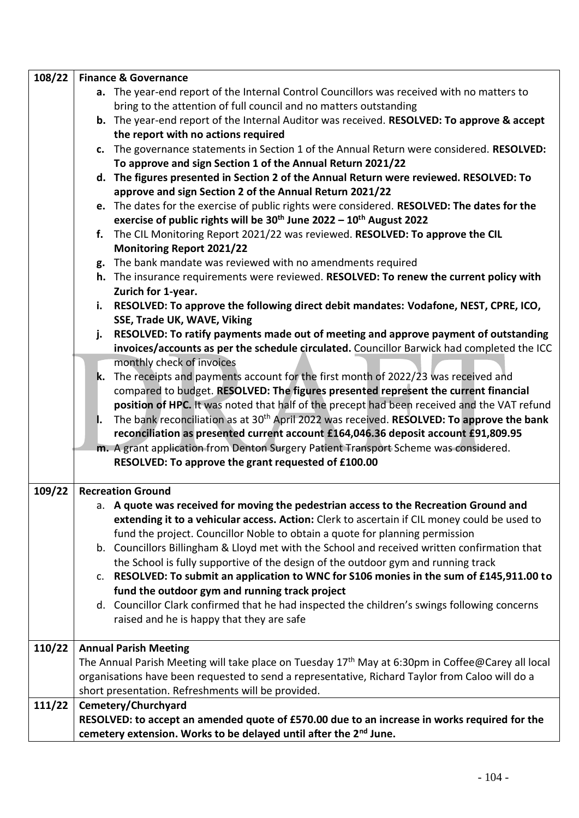| 108/22 | <b>Finance &amp; Governance</b>                                                                                                                                                                   |
|--------|---------------------------------------------------------------------------------------------------------------------------------------------------------------------------------------------------|
|        | a. The year-end report of the Internal Control Councillors was received with no matters to                                                                                                        |
|        | bring to the attention of full council and no matters outstanding                                                                                                                                 |
|        | b. The year-end report of the Internal Auditor was received. RESOLVED: To approve & accept                                                                                                        |
|        | the report with no actions required                                                                                                                                                               |
|        | c. The governance statements in Section 1 of the Annual Return were considered. RESOLVED:                                                                                                         |
|        | To approve and sign Section 1 of the Annual Return 2021/22                                                                                                                                        |
|        | d. The figures presented in Section 2 of the Annual Return were reviewed. RESOLVED: To                                                                                                            |
|        | approve and sign Section 2 of the Annual Return 2021/22                                                                                                                                           |
|        | e. The dates for the exercise of public rights were considered. RESOLVED: The dates for the                                                                                                       |
|        | exercise of public rights will be $30^{th}$ June 2022 - $10^{th}$ August 2022                                                                                                                     |
|        | The CIL Monitoring Report 2021/22 was reviewed. RESOLVED: To approve the CIL<br>f.                                                                                                                |
|        | <b>Monitoring Report 2021/22</b>                                                                                                                                                                  |
|        | g. The bank mandate was reviewed with no amendments required                                                                                                                                      |
|        | h. The insurance requirements were reviewed. RESOLVED: To renew the current policy with                                                                                                           |
|        | Zurich for 1-year.                                                                                                                                                                                |
|        | i. RESOLVED: To approve the following direct debit mandates: Vodafone, NEST, CPRE, ICO,                                                                                                           |
|        | SSE, Trade UK, WAVE, Viking                                                                                                                                                                       |
|        | RESOLVED: To ratify payments made out of meeting and approve payment of outstanding<br>j.                                                                                                         |
|        | invoices/accounts as per the schedule circulated. Councillor Barwick had completed the ICC                                                                                                        |
|        | monthly check of invoices                                                                                                                                                                         |
|        | k. The receipts and payments account for the first month of 2022/23 was received and                                                                                                              |
|        | compared to budget. RESOLVED: The figures presented represent the current financial                                                                                                               |
|        | position of HPC. It was noted that half of the precept had been received and the VAT refund                                                                                                       |
|        | The bank reconciliation as at 30 <sup>th</sup> April 2022 was received. RESOLVED: To approve the bank<br>I.<br>reconciliation as presented current account £164,046.36 deposit account £91,809.95 |
|        | m. A grant application from Denton Surgery Patient Transport Scheme was considered.                                                                                                               |
|        | RESOLVED: To approve the grant requested of £100.00                                                                                                                                               |
|        |                                                                                                                                                                                                   |
| 109/22 | <b>Recreation Ground</b>                                                                                                                                                                          |
|        | a. A quote was received for moving the pedestrian access to the Recreation Ground and                                                                                                             |
|        | extending it to a vehicular access. Action: Clerk to ascertain if CIL money could be used to                                                                                                      |
|        | fund the project. Councillor Noble to obtain a quote for planning permission                                                                                                                      |
|        | b. Councillors Billingham & Lloyd met with the School and received written confirmation that                                                                                                      |
|        | the School is fully supportive of the design of the outdoor gym and running track                                                                                                                 |
|        | c. RESOLVED: To submit an application to WNC for S106 monies in the sum of £145,911.00 to                                                                                                         |
|        | fund the outdoor gym and running track project                                                                                                                                                    |
|        | d. Councillor Clark confirmed that he had inspected the children's swings following concerns                                                                                                      |
|        | raised and he is happy that they are safe                                                                                                                                                         |
|        |                                                                                                                                                                                                   |
| 110/22 | <b>Annual Parish Meeting</b>                                                                                                                                                                      |
|        | The Annual Parish Meeting will take place on Tuesday 17 <sup>th</sup> May at 6:30pm in Coffee@Carey all local                                                                                     |
|        | organisations have been requested to send a representative, Richard Taylor from Caloo will do a                                                                                                   |
|        | short presentation. Refreshments will be provided.                                                                                                                                                |
| 111/22 | Cemetery/Churchyard                                                                                                                                                                               |
|        | RESOLVED: to accept an amended quote of £570.00 due to an increase in works required for the                                                                                                      |
|        | cemetery extension. Works to be delayed until after the 2 <sup>nd</sup> June.                                                                                                                     |